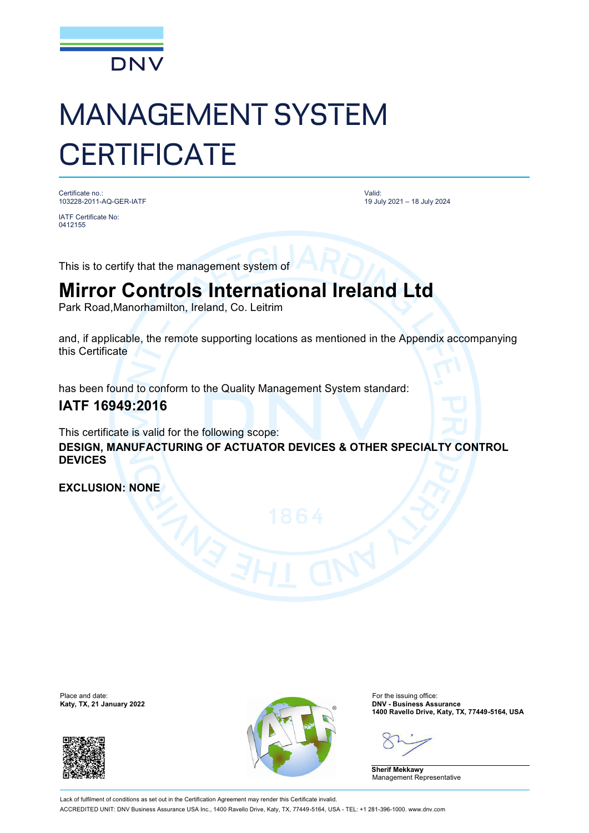

# MANAGEMENT SYSTEM **CERTIFICATE**

Certificate no.: 103228-2011-AQ-GER-IATF

IATF Certificate No: 0412155

Valid: 19 July 2021 – 18 July 2024

This is to certify that the management system of

## **Mirror Controls International Ireland Ltd**

Park Road,Manorhamilton, Ireland, Co. Leitrim

and, if applicable, the remote supporting locations as mentioned in the Appendix accompanying this Certificate

has been found to conform to the Quality Management System standard:

### **IATF 16949:2016**

This certificate is valid for the following scope: **DESIGN, MANUFACTURING OF ACTUATOR DEVICES & OTHER SPECIALTY CONTROL DEVICES**

**EXCLUSION: NONE**

Place and date:<br>Katy, TX, 21 January 2022





For the issuing office:<br>**DNV - Business Assurance 1400 Ravello Drive, Katy, TX, 77449-5164, USA**

**Sherif Mekkawy** Management Representative